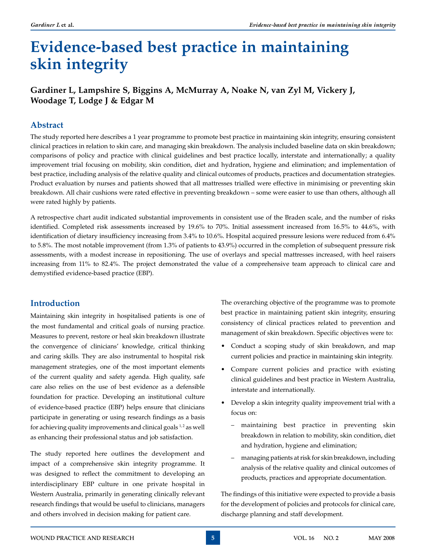# **Evidence-based best practice in maintaining skin integrity**

# **Gardiner L, Lampshire S, Biggins A, McMurray A, Noake N, van Zyl M, Vickery J, Woodage T, Lodge J & Edgar M**

# **Abstract**

The study reported here describes a 1 year programme to promote best practice in maintaining skin integrity, ensuring consistent clinical practices in relation to skin care, and managing skin breakdown. The analysis included baseline data on skin breakdown; comparisons of policy and practice with clinical guidelines and best practice locally, interstate and internationally; a quality improvement trial focusing on mobility, skin condition, diet and hydration, hygiene and elimination; and implementation of best practice, including analysis of the relative quality and clinical outcomes of products, practices and documentation strategies. Product evaluation by nurses and patients showed that all mattresses trialled were effective in minimising or preventing skin breakdown. All chair cushions were rated effective in preventing breakdown – some were easier to use than others, although all were rated highly by patients.

A retrospective chart audit indicated substantial improvements in consistent use of the Braden scale, and the number of risks identified. Completed risk assessments increased by 19.6% to 70%. Initial assessment increased from 16.5% to 44.6%, with identification of dietary insufficiency increasing from 3.4% to 10.6%. Hospital acquired pressure lesions were reduced from 6.4% to 5.8%. The most notable improvement (from 1.3% of patients to 43.9%) occurred in the completion of subsequent pressure risk assessments, with a modest increase in repositioning. The use of overlays and special mattresses increased, with heel raisers increasing from 11% to 82.4%. The project demonstrated the value of a comprehensive team approach to clinical care and demystified evidence-based practice (EBP).

# **Introduction**

Maintaining skin integrity in hospitalised patients is one of the most fundamental and critical goals of nursing practice. Measures to prevent, restore or heal skin breakdown illustrate the convergence of clinicians' knowledge, critical thinking and caring skills. They are also instrumental to hospital risk management strategies, one of the most important elements of the current quality and safety agenda. High quality, safe care also relies on the use of best evidence as a defensible foundation for practice. Developing an institutional culture of evidence-based practice (EBP) helps ensure that clinicians participate in generating or using research findings as a basis for achieving quality improvements and clinical goals  $1, 2$  as well as enhancing their professional status and job satisfaction.

The study reported here outlines the development and impact of a comprehensive skin integrity programme. It was designed to reflect the commitment to developing an interdisciplinary EBP culture in one private hospital in Western Australia, primarily in generating clinically relevant research findings that would be useful to clinicians, managers and others involved in decision making for patient care.

The overarching objective of the programme was to promote best practice in maintaining patient skin integrity, ensuring consistency of clinical practices related to prevention and management of skin breakdown. Specific objectives were to:

- Conduct a scoping study of skin breakdown, and map current policies and practice in maintaining skin integrity.
- Compare current policies and practice with existing clinical guidelines and best practice in Western Australia, interstate and internationally.
- Develop a skin integrity quality improvement trial with a focus on:
	- maintaining best practice in preventing skin breakdown in relation to mobility, skin condition, diet and hydration, hygiene and elimination;
	- managing patients at risk for skin breakdown, including analysis of the relative quality and clinical outcomes of products, practices and appropriate documentation.

The findings of this initiative were expected to provide a basis for the development of policies and protocols for clinical care, discharge planning and staff development.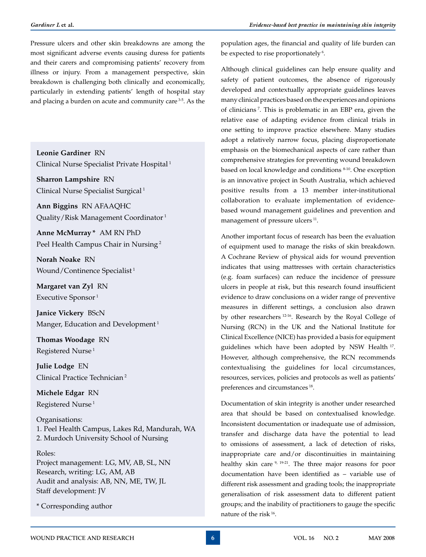Pressure ulcers and other skin breakdowns are among the most significant adverse events causing duress for patients and their carers and compromising patients' recovery from illness or injury. From a management perspective, skin breakdown is challenging both clinically and economically, particularly in extending patients' length of hospital stay and placing a burden on acute and community care 3-5. As the

**Leonie Gardiner** RN Clinical Nurse Specialist Private Hospital 1

**Sharron Lampshire** RN Clinical Nurse Specialist Surgical 1

**Ann Biggins** RN AFAAQHC Quality/Risk Management Coordinator 1

**Anne McMurray \*** AM RN PhD Peel Health Campus Chair in Nursing 2

**Norah Noake** RN Wound/Continence Specialist<sup>1</sup>

**Margaret van Zyl** RN Executive Sponsor<sup>1</sup>

**Janice Vickery** BScN Manger, Education and Development<sup>1</sup>

**Thomas Woodage** RN Registered Nurse<sup>1</sup>

**Julie Lodge** EN Clinical Practice Technician 2

**Michele Edgar** RN Registered Nurse<sup>1</sup>

Organisations: 1. Peel Health Campus, Lakes Rd, Mandurah, WA 2. Murdoch University School of Nursing

## Roles:

Project management: LG, MV, AB, SL, NN Research, writing: LG, AM, AB Audit and analysis: AB, NN, ME, TW, JL Staff development: JV

\* Corresponding author

population ages, the financial and quality of life burden can be expected to rise proportionately<sup>6</sup>.

Although clinical guidelines can help ensure quality and safety of patient outcomes, the absence of rigorously developed and contextually appropriate guidelines leaves many clinical practices based on the experiences and opinions of clinicians 7. This is problematic in an EBP era, given the relative ease of adapting evidence from clinical trials in one setting to improve practice elsewhere. Many studies adopt a relatively narrow focus, placing disproportionate emphasis on the biomechanical aspects of care rather than comprehensive strategies for preventing wound breakdown based on local knowledge and conditions 8-10. One exception is an innovative project in South Australia, which achieved positive results from a 13 member inter-institutional collaboration to evaluate implementation of evidencebased wound management guidelines and prevention and management of pressure ulcers<sup>11</sup>.

Another important focus of research has been the evaluation of equipment used to manage the risks of skin breakdown. A Cochrane Review of physical aids for wound prevention indicates that using mattresses with certain characteristics (e.g. foam surfaces) can reduce the incidence of pressure ulcers in people at risk, but this research found insufficient evidence to draw conclusions on a wider range of preventive measures in different settings, a conclusion also drawn by other researchers 12-16. Research by the Royal College of Nursing (RCN) in the UK and the National Institute for Clinical Excellence (NICE) has provided a basis for equipment guidelines which have been adopted by NSW Health <sup>17</sup>. However, although comprehensive, the RCN recommends contextualising the guidelines for local circumstances, resources, services, policies and protocols as well as patients' preferences and circumstances 18.

Documentation of skin integrity is another under researched area that should be based on contextualised knowledge. Inconsistent documentation or inadequate use of admission, transfer and discharge data have the potential to lead to omissions of assessment, a lack of detection of risks, inappropriate care and/or discontinuities in maintaining healthy skin care  $9$ ,  $19-21$ . The three major reasons for poor documentation have been identified as – variable use of different risk assessment and grading tools; the inappropriate generalisation of risk assessment data to different patient groups; and the inability of practitioners to gauge the specific nature of the risk 16.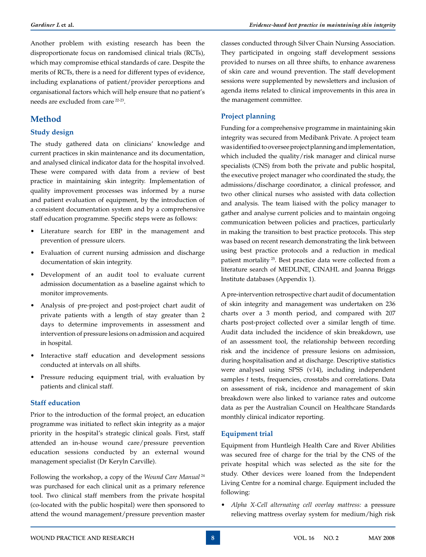Another problem with existing research has been the disproportionate focus on randomised clinical trials (RCTs), which may compromise ethical standards of care. Despite the merits of RCTs, there is a need for different types of evidence, including explanations of patient/provider perceptions and organisational factors which will help ensure that no patient's needs are excluded from care 22-23.

# **Method**

## **Study design**

The study gathered data on clinicians' knowledge and current practices in skin maintenance and its documentation, and analysed clinical indicator data for the hospital involved. These were compared with data from a review of best practice in maintaining skin integrity. Implementation of quality improvement processes was informed by a nurse and patient evaluation of equipment, by the introduction of a consistent documentation system and by a comprehensive staff education programme. Specific steps were as follows:

- • Literature search for EBP in the management and prevention of pressure ulcers.
- • Evaluation of current nursing admission and discharge documentation of skin integrity.
- • Development of an audit tool to evaluate current admission documentation as a baseline against which to monitor improvements.
- • Analysis of pre-project and post-project chart audit of private patients with a length of stay greater than 2 days to determine improvements in assessment and intervention of pressure lesions on admission and acquired in hospital.
- Interactive staff education and development sessions conducted at intervals on all shifts.
- Pressure reducing equipment trial, with evaluation by patients and clinical staff.

## **Staff education**

Prior to the introduction of the formal project, an education programme was initiated to reflect skin integrity as a major priority in the hospital's strategic clinical goals. First, staff attended an in-house wound care/pressure prevention education sessions conducted by an external wound management specialist (Dr Keryln Carville).

Following the workshop, a copy of the *Wound Care Manual*<sup>24</sup> was purchased for each clinical unit as a primary reference tool. Two clinical staff members from the private hospital (co-located with the public hospital) were then sponsored to attend the wound management/pressure prevention master classes conducted through Silver Chain Nursing Association. They participated in ongoing staff development sessions provided to nurses on all three shifts, to enhance awareness of skin care and wound prevention. The staff development sessions were supplemented by newsletters and inclusion of agenda items related to clinical improvements in this area in the management committee.

# **Project planning**

Funding for a comprehensive programme in maintaining skin integrity was secured from Medibank Private. A project team was identified to oversee project planning and implementation, which included the quality/risk manager and clinical nurse specialists (CNS) from both the private and public hospital, the executive project manager who coordinated the study, the admissions/discharge coordinator, a clinical professor, and two other clinical nurses who assisted with data collection and analysis. The team liaised with the policy manager to gather and analyse current policies and to maintain ongoing communication between policies and practices, particularly in making the transition to best practice protocols. This step was based on recent research demonstrating the link between using best practice protocols and a reduction in medical patient mortality 25. Best practice data were collected from a literature search of MEDLINE, CINAHL and Joanna Briggs Institute databases (Appendix 1).

A pre-intervention retrospective chart audit of documentation of skin integrity and management was undertaken on 236 charts over a 3 month period, and compared with 207 charts post-project collected over a similar length of time. Audit data included the incidence of skin breakdown, use of an assessment tool, the relationship between recording risk and the incidence of pressure lesions on admission, during hospitalisation and at discharge. Descriptive statistics were analysed using SPSS (v14), including independent samples *t* tests, frequencies, crosstabs and correlations. Data on assessment of risk, incidence and management of skin breakdown were also linked to variance rates and outcome data as per the Australian Council on Healthcare Standards monthly clinical indicator reporting.

# **Equipment trial**

Equipment from Huntleigh Health Care and River Abilities was secured free of charge for the trial by the CNS of the private hospital which was selected as the site for the study. Other devices were loaned from the Independent Living Centre for a nominal charge. Equipment included the following:

Alpha X-Cell alternating cell overlay mattress: a pressure relieving mattress overlay system for medium/high risk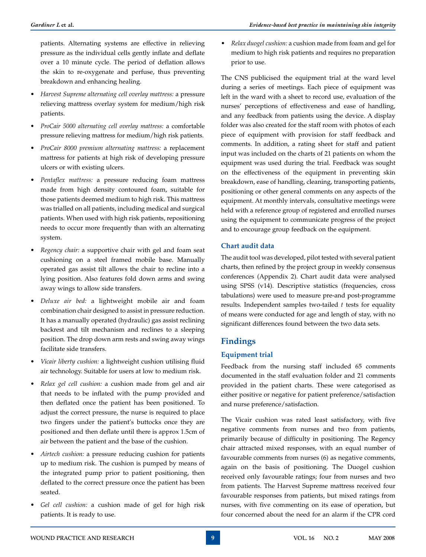patients. Alternating systems are effective in relieving pressure as the individual cells gently inflate and deflate over a 10 minute cycle. The period of deflation allows the skin to re-oxygenate and perfuse, thus preventing breakdown and enhancing healing.

- • *Harvest Supreme alternating cell overlay mattress:* a pressure relieving mattress overlay system for medium/high risk patients.
- • *ProCair 5000 alternating cell overlay mattress:* a comfortable pressure relieving mattress for medium/high risk patients.
- • *ProCair 8000 premium alternating mattress:* a replacement mattress for patients at high risk of developing pressure ulcers or with existing ulcers.
- • *Pentaflex mattress:* a pressure reducing foam mattress made from high density contoured foam, suitable for those patients deemed medium to high risk. This mattress was trialled on all patients, including medical and surgical patients. When used with high risk patients, repositioning needs to occur more frequently than with an alternating system.
- *Regency chair:* a supportive chair with gel and foam seat cushioning on a steel framed mobile base. Manually operated gas assist tilt allows the chair to recline into a lying position. Also features fold down arms and swing away wings to allow side transfers.
- *Deluxe air bed:* a lightweight mobile air and foam combination chair designed to assist in pressure reduction. It has a manually operated (hydraulic) gas assist reclining backrest and tilt mechanism and reclines to a sleeping position. The drop down arm rests and swing away wings facilitate side transfers.
- • *Vicair liberty cushion:* a lightweight cushion utilising fluid air technology. Suitable for users at low to medium risk.
- *Relax gel cell cushion:* a cushion made from gel and air that needs to be inflated with the pump provided and then deflated once the patient has been positioned. To adjust the correct pressure, the nurse is required to place two fingers under the patient's buttocks once they are positioned and then deflate until there is approx 1.5cm of air between the patient and the base of the cushion.
- Airtech cushion: a pressure reducing cushion for patients up to medium risk. The cushion is pumped by means of the integrated pump prior to patient positioning, then deflated to the correct pressure once the patient has been seated.
- *Gel cell cushion:* a cushion made of gel for high risk patients. It is ready to use.

• *Relax duogel cushion:* a cushion made from foam and gel for medium to high risk patients and requires no preparation prior to use.

The CNS publicised the equipment trial at the ward level during a series of meetings. Each piece of equipment was left in the ward with a sheet to record use, evaluation of the nurses' perceptions of effectiveness and ease of handling, and any feedback from patients using the device. A display folder was also created for the staff room with photos of each piece of equipment with provision for staff feedback and comments. In addition, a rating sheet for staff and patient input was included on the charts of 21 patients on whom the equipment was used during the trial. Feedback was sought on the effectiveness of the equipment in preventing skin breakdown, ease of handling, cleaning, transporting patients, positioning or other general comments on any aspects of the equipment. At monthly intervals, consultative meetings were held with a reference group of registered and enrolled nurses using the equipment to communicate progress of the project and to encourage group feedback on the equipment.

## **Chart audit data**

The audit tool was developed, pilot tested with several patient charts, then refined by the project group in weekly consensus conferences (Appendix 2). Chart audit data were analysed using SPSS (v14). Descriptive statistics (frequencies, cross tabulations) were used to measure pre-and post-programme results. Independent samples two-tailed *t* tests for equality of means were conducted for age and length of stay, with no significant differences found between the two data sets.

# **Findings**

## **Equipment trial**

Feedback from the nursing staff included 65 comments documented in the staff evaluation folder and 21 comments provided in the patient charts. These were categorised as either positive or negative for patient preference/satisfaction and nurse preference/satisfaction.

The Vicair cushion was rated least satisfactory, with five negative comments from nurses and two from patients, primarily because of difficulty in positioning. The Regency chair attracted mixed responses, with an equal number of favourable comments from nurses (6) as negative comments, again on the basis of positioning. The Duogel cushion received only favourable ratings; four from nurses and two from patients. The Harvest Supreme mattress received four favourable responses from patients, but mixed ratings from nurses, with five commenting on its ease of operation, but four concerned about the need for an alarm if the CPR cord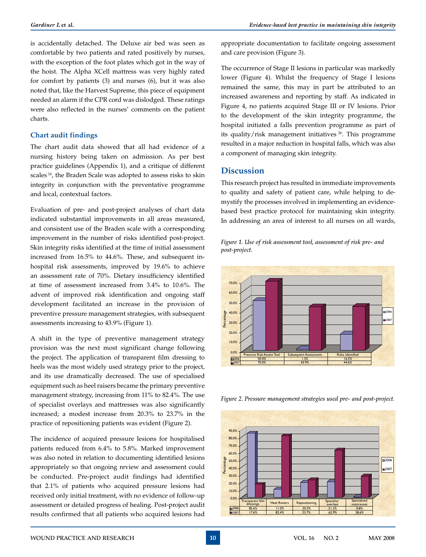is accidentally detached. The Deluxe air bed was seen as comfortable by two patients and rated positively by nurses, with the exception of the foot plates which got in the way of the hoist. The Alpha XCell mattress was very highly rated for comfort by patients (3) and nurses (6), but it was also noted that, like the Harvest Supreme, this piece of equipment needed an alarm if the CPR cord was dislodged. These ratings were also reflected in the nurses' comments on the patient charts.

#### **Chart audit findings**

The chart audit data showed that all had evidence of a nursing history being taken on admission. As per best practice guidelines (Appendix 1), and a critique of different scales 18, the Braden Scale was adopted to assess risks to skin integrity in conjunction with the preventative programme and local, contextual factors.

Evaluation of pre- and post-project analyses of chart data indicated substantial improvements in all areas measured, and consistent use of the Braden scale with a corresponding improvement in the number of risks identified post-project. Skin integrity risks identified at the time of initial assessment increased from 16.5% to 44.6%. These, and subsequent inhospital risk assessments, improved by 19.6% to achieve an assessment rate of 70%. Dietary insufficiency identified at time of assessment increased from 3.4% to 10.6%. The advent of improved risk identification and ongoing staff development facilitated an increase in the provision of preventive pressure management strategies, with subsequent assessments increasing to 43.9% (Figure 1).

A shift in the type of preventive management strategy provision was the next most significant change following the project. The application of transparent film dressing to heels was the most widely used strategy prior to the project, and its use dramatically decreased. The use of specialised equipment such as heel raisers became the primary preventive management strategy, increasing from 11% to 82.4%. The use of specialist overlays and mattresses was also significantly increased; a modest increase from 20.3% to 23.7% in the practice of repositioning patients was evident (Figure 2).

The incidence of acquired pressure lesions for hospitalised patients reduced from 6.4% to 5.8%. Marked improvement was also noted in relation to documenting identified lesions appropriately so that ongoing review and assessment could be conducted. Pre-project audit findings had identified that 2.1% of patients who acquired pressure lesions had received only initial treatment, with no evidence of follow-up assessment or detailed progress of healing. Post-project audit results confirmed that all patients who acquired lesions had

appropriate documentation to facilitate ongoing assessment and care provision (Figure 3).

The occurrence of Stage II lesions in particular was markedly lower (Figure 4). Whilst the frequency of Stage I lesions remained the same, this may in part be attributed to an increased awareness and reporting by staff. As indicated in Figure 4, no patients acquired Stage III or IV lesions. Prior to the development of the skin integrity programme, the hospital initiated a falls prevention programme as part of its quality/risk management initiatives  $26$ . This programme resulted in a major reduction in hospital falls, which was also a component of managing skin integrity.

# **Discussion**

This research project has resulted in immediate improvements to quality and safety of patient care, while helping to demystify the processes involved in implementing an evidencebased best practice protocol for maintaining skin integrity. In addressing an area of interest to all nurses on all wards,





*Figure 2. Pressure management strategies used pre- and post-project.*

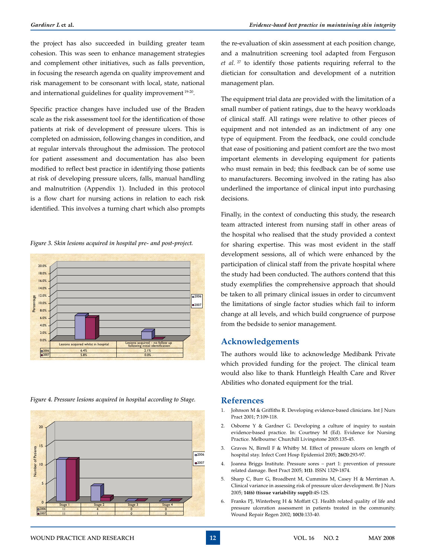the project has also succeeded in building greater team cohesion. This was seen to enhance management strategies and complement other initiatives, such as falls prevention, in focusing the research agenda on quality improvement and risk management to be consonant with local, state, national and international guidelines for quality improvement 19-20.

Specific practice changes have included use of the Braden scale as the risk assessment tool for the identification of those patients at risk of development of pressure ulcers. This is completed on admission, following changes in condition, and at regular intervals throughout the admission. The protocol for patient assessment and documentation has also been modified to reflect best practice in identifying those patients at risk of developing pressure ulcers, falls, manual handling and malnutrition (Appendix 1). Included in this protocol is a flow chart for nursing actions in relation to each risk identified. This involves a turning chart which also prompts

*Figure 3. Skin lesions acquired in hospital pre- and post-project.*



*Figure 4. Pressure lesions acquired in hospital according to Stage.*



the re-evaluation of skin assessment at each position change, and a malnutrition screening tool adapted from Ferguson *et al.* 27 to identify those patients requiring referral to the dietician for consultation and development of a nutrition management plan.

The equipment trial data are provided with the limitation of a small number of patient ratings, due to the heavy workloads of clinical staff. All ratings were relative to other pieces of equipment and not intended as an indictment of any one type of equipment. From the feedback, one could conclude that ease of positioning and patient comfort are the two most important elements in developing equipment for patients who must remain in bed; this feedback can be of some use to manufacturers. Becoming involved in the rating has also underlined the importance of clinical input into purchasing decisions.

Finally, in the context of conducting this study, the research team attracted interest from nursing staff in other areas of the hospital who realised that the study provided a context for sharing expertise. This was most evident in the staff development sessions, all of which were enhanced by the participation of clinical staff from the private hospital where the study had been conducted. The authors contend that this study exemplifies the comprehensive approach that should be taken to all primary clinical issues in order to circumvent the limitations of single factor studies which fail to inform change at all levels, and which build congruence of purpose from the bedside to senior management.

### **Acknowledgements**

The authors would like to acknowledge Medibank Private which provided funding for the project. The clinical team would also like to thank Huntleigh Health Care and River Abilities who donated equipment for the trial.

#### **References**

- 1. Johnson M & Griffiths R. Developing evidence-based clinicians. Int J Nurs Pract 2001; **7**:109-118.
- 2. Osborne Y & Gardner G. Developing a culture of inquiry to sustain evidence-based practice. In: Courtney M (Ed). Evidence for Nursing Practice. Melbourne: Churchill Livingstone 2005:135-45.
- 3. Graves N, Birrell F & Whitby M. Effect of pressure ulcers on length of hospital stay. Infect Cont Hosp Epidemiol 2005; **26(3)**:293-97.
- 4. Joanna Briggs Institute. Pressure sores part 1: prevention of pressure related damage. Best Pract 2005; **1(1)**. ISSN 1329-1874.
- 5. Sharp C, Burr G, Broadbent M, Cummins M, Casey H & Merriman A. Clinical variance in assessing risk of pressure ulcer development. Br J Nurs 2005; **14(6) (tissue variability suppl)**:4S-12S.
- 6. Franks PJ, Winterberg H & Moffatt CJ. Health related quality of life and pressure ulceration assessment in patients treated in the community. Wound Repair Regen 2002; **10(3)**:133-40.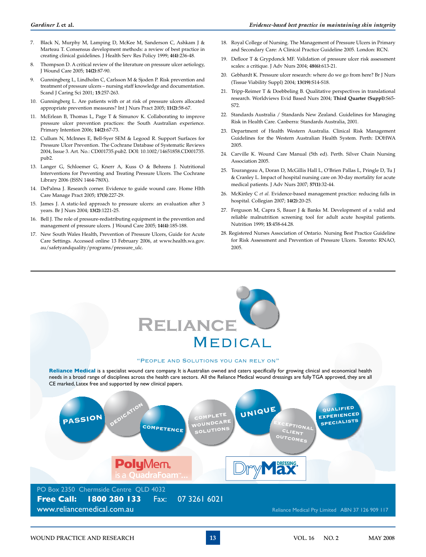- 7. Black N, Murphy M, Lamping D, McKee M, Sanderson C, Ashkam J & Marteau T. Consensus development methods: a review of best practice in creating clinical guidelines. J Health Serv Res Policy 1999; **4(4)**:236-48.
- Thompson D. A critical review of the literature on pressure ulcer aetiology, J Wound Care 2005; **14(2)**:87-90.
- 9. Gunningberg L, Lindholm C, Carlsson M & Sjoden P. Risk prevention and treatment of pressure ulcers – nursing staff knowledge and documentation. Scand J Caring Sci 2001; **15**:257-263.
- 10. Gunningberg L. Are patients with or at risk of pressure ulcers allocated appropriate prevention measures? Int J Nurs Pract 2005; **11(2)**:58-67.
- 11. McErlean B, Thomas L, Page T & Simunov K. Collaborating to improve pressure ulcer prevention practices: the South Australian experience. Primary Intention 2006; **14(2)**:67-73.
- 12. Cullum N, McInnes E, Bell-Syer SEM & Legood R. Support Surfaces for Pressure Ulcer Prevention. The Cochrane Database of Systematic Reviews 2004, Issue 3. Art. No.: CD001735.pub2. DOI: 10.1002/14651858.CD001735. pub2.
- 13. Langer G, Schloemer G, Knerr A, Kuss O & Behrens J. Nutritional Interventions for Preventing and Treating Pressure Ulcers. The Cochrane Library 2006 (ISSN 1464-780X).
- 14. DePalma J. Research corner. Evidence to guide wound care. Home Hlth Care Manage Pract 2005; **17(3)**:227-29.
- 15. James J. A static-led approach to pressure ulcers: an evaluation after 3 years. Br J Nurs 2004; **13(2)**:1221-25.
- 16. Bell J. The role of pressure-redistributing equipment in the prevention and management of pressure ulcers. J Wound Care 2005; **14(4)**:185-188.
- 17. New South Wales Health, Prevention of Pressure Ulcers, Guide for Acute Care Settings. Accessed online 13 February 2006, at www.health.wa.gov. au/safetyandquality/programs/pressure\_ulc.
- 18. Royal College of Nursing. The Management of Pressure Ulcers in Primary and Secondary Care: A Clinical Practice Guideline 2005. London: RCN.
- 19. Defloor T & Grypdonck MF. Validation of pressure ulcer risk assessment scales: a critique. J Adv Nurs 2004; **48(6)**:613-21.
- 20. Gebhardt K. Pressure ulcer research: where do we go from here? Br J Nurs (Tissue Viability Suppl) 2004; **13(19)**:S14-S18.
- 21. Tripp-Reimer T & Doebbeling B. Qualitative perspectives in translational research. Worldviews Evid Based Nurs 2004; **Third Quarter (Suppl)**:S65- S72.
- 22. Standards Australia / Standards New Zealand. Guidelines for Managing Risk in Health Care. Canberra: Standards Australia, 2001.
- 23. Department of Health Western Australia. Clinical Risk Management Guidelines for the Western Australian Health System. Perth: DOHWA 2005.
- 24. Carville K. Wound Care Manual (5th ed). Perth. Silver Chain Nursing Association 2005.
- 25. Tourangeau A, Doran D, McGillis Hall L, O'Brien Pallas L, Pringle D, Tu J & Cranley L. Impact of hospital nursing care on 30-day mortality for acute medical patients. J Adv Nurs 2007; **57(1)**:32-44.
- 26. McKinley C *et al.* Evidence-based management practice: reducing falls in hospital. Collegian 2007; **14(2)**:20-25.
- 27. Ferguson M, Capra S, Bauer J & Banks M. Development of a valid and reliable malnutrition screening tool for adult acute hospital patients. Nutrition 1999; **15**:458-64.28.
- 28. Registered Nurses Association of Ontario. Nursing Best Practice Guideline for Risk Assessment and Prevention of Pressure Ulcers. Toronto: RNAO, 2005.

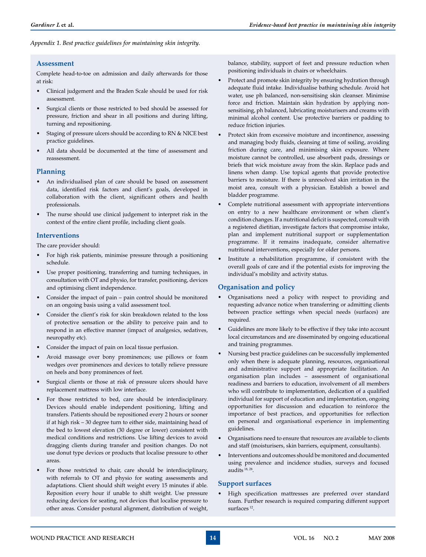#### *Appendix 1. Best practice guidelines for maintaining skin integrity.*

#### **Assessment**

Complete head-to-toe on admission and daily afterwards for those at risk:

- Clinical judgement and the Braden Scale should be used for risk assessment.
- Surgical clients or those restricted to bed should be assessed for pressure, friction and shear in all positions and during lifting, turning and repositioning.
- Staging of pressure ulcers should be according to RN & NICE best practice guidelines.
- All data should be documented at the time of assessment and reassessment.

#### **Planning**

- An individualised plan of care should be based on assessment data, identified risk factors and client's goals, developed in collaboration with the client, significant others and health professionals.
- The nurse should use clinical judgement to interpret risk in the context of the entire client profile, including client goals.

#### **Interventions**

The care provider should:

- For high risk patients, minimise pressure through a positioning schedule.
- Use proper positioning, transferring and turning techniques, in consultation with OT and physio, for transfer, positioning, devices and optimising client independence.
- Consider the impact of pain pain control should be monitored on an ongoing basis using a valid assessment tool.
- Consider the client's risk for skin breakdown related to the loss of protective sensation or the ability to perceive pain and to respond in an effective manner (impact of analgesics, sedatives, neuropathy etc).
- Consider the impact of pain on local tissue perfusion.
- Avoid massage over bony prominences; use pillows or foam wedges over prominences and devices to totally relieve pressure on heels and bony prominences of feet.
- Surgical clients or those at risk of pressure ulcers should have replacement mattress with low interface.
- For those restricted to bed, care should be interdisciplinary. Devices should enable independent positioning, lifting and transfers. Patients should be repositioned every 2 hours or sooner if at high risk – 30 degree turn to either side, maintaining head of the bed to lowest elevation (30 degree or lower) consistent with medical conditions and restrictions. Use lifting devices to avoid dragging clients during transfer and position changes. Do not use donut type devices or products that localise pressure to other areas.
- For those restricted to chair, care should be interdisciplinary, with referrals to OT and physio for seating assessments and adaptations. Client should shift weight every 15 minutes if able. Reposition every hour if unable to shift weight. Use pressure reducing devices for seating, not devices that localise pressure to other areas. Consider postural alignment, distribution of weight,

balance, stability, support of feet and pressure reduction when positioning individuals in chairs or wheelchairs.

- Protect and promote skin integrity by ensuring hydration through adequate fluid intake. Individualise bathing schedule. Avoid hot water, use ph balanced, non-sensitising skin cleanser. Minimise force and friction. Maintain skin hydration by applying nonsensitising, ph balanced, lubricating moisturisers and creams with minimal alcohol content. Use protective barriers or padding to reduce friction injuries.
- Protect skin from excessive moisture and incontinence, assessing and managing body fluids, cleansing at time of soiling, avoiding friction during care, and minimising skin exposure. Where moisture cannot be controlled, use absorbent pads, dressings or briefs that wick moisture away from the skin. Replace pads and linens when damp. Use topical agents that provide protective barriers to moisture. If there is unresolved skin irritation in the moist area, consult with a physician. Establish a bowel and bladder programme.
- Complete nutritional assessment with appropriate interventions on entry to a new healthcare environment or when client's condition changes. If a nutritional deficit is suspected, consult with a registered dietitian, investigate factors that compromise intake, plan and implement nutritional support or supplementation programme. If it remains inadequate, consider alternative nutritional interventions, especially for older persons.
- Institute a rehabilitation programme, if consistent with the overall goals of care and if the potential exists for improving the individual's mobility and activity status.

#### **Organisation and policy**

- Organisations need a policy with respect to providing and requesting advance notice when transferring or admitting clients between practice settings when special needs (surfaces) are required.
- Guidelines are more likely to be effective if they take into account local circumstances and are disseminated by ongoing educational and training programmes.
- Nursing best practice guidelines can be successfully implemented only when there is adequate planning, resources, organisational and administrative support and appropriate facilitation. An organisation plan includes – assessment of organisational readiness and barriers to education, involvement of all members who will contribute to implementation, dedication of a qualified individual for support of education and implementation, ongoing opportunities for discussion and education to reinforce the importance of best practices, and opportunities for reflection on personal and organisational experience in implementing guidelines.
- Organisations need to ensure that resources are available to clients and staff (moisturisers, skin barriers, equipment, consultants).
- Interventions and outcomes should be monitored and documented using prevalence and incidence studies, surveys and focused audits 18, 28.

#### **Support surfaces**

• High specification mattresses are preferred over standard foam. Further research is required comparing different support surfaces<sup>12</sup>.